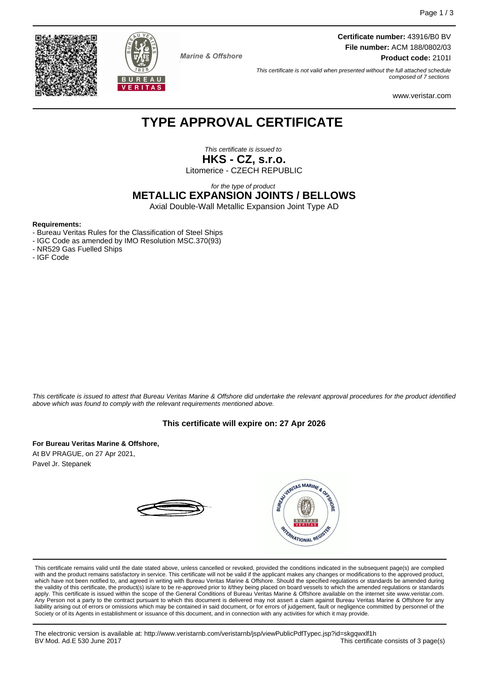



**Marine & Offshore** 

**Certificate number:** 43916/B0 BV **File number:** ACM 188/0802/03 **Product code:** 2101I

This certificate is not valid when presented without the full attached schedule composed of 7 sections

www.veristar.com

# **TYPE APPROVAL CERTIFICATE**

This certificate is issued to **HKS - CZ, s.r.o.** Litomerice - CZECH REPUBLIC

for the type of product

**METALLIC EXPANSION JOINTS / BELLOWS**

Axial Double-Wall Metallic Expansion Joint Type AD

#### **Requirements:**

- Bureau Veritas Rules for the Classification of Steel Ships
- IGC Code as amended by IMO Resolution MSC.370(93)
- NR529 Gas Fuelled Ships
- IGF Code

This certificate is issued to attest that Bureau Veritas Marine & Offshore did undertake the relevant approval procedures for the product identified above which was found to comply with the relevant requirements mentioned above.

#### **This certificate will expire on: 27 Apr 2026**

**For Bureau Veritas Marine & Offshore,**

At BV PRAGUE, on 27 Apr 2021, Pavel Jr. Stepanek



This certificate remains valid until the date stated above, unless cancelled or revoked, provided the conditions indicated in the subsequent page(s) are complied with and the product remains satisfactory in service. This certificate will not be valid if the applicant makes any changes or modifications to the approved product, which have not been notified to, and agreed in writing with Bureau Veritas Marine & Offshore. Should the specified regulations or standards be amended during<br>the validity of this certificate, the product(s) is/are to be re apply. This certificate is issued within the scope of the General Conditions of Bureau Veritas Marine & Offshore available on the internet site www.veristar.com. Any Person not a party to the contract pursuant to which this document is delivered may not assert a claim against Bureau Veritas Marine & Offshore for any liability arising out of errors or omissions which may be contained in said document, or for errors of judgement, fault or negligence committed by personnel of the<br>Society or of its Agents in establishment or issuance of t

The electronic version is available at: http://www.veristarnb.com/veristarnb/jsp/viewPublicPdfTypec.jsp?id=skgqwxlf1h This certificate consists of 3 page(s)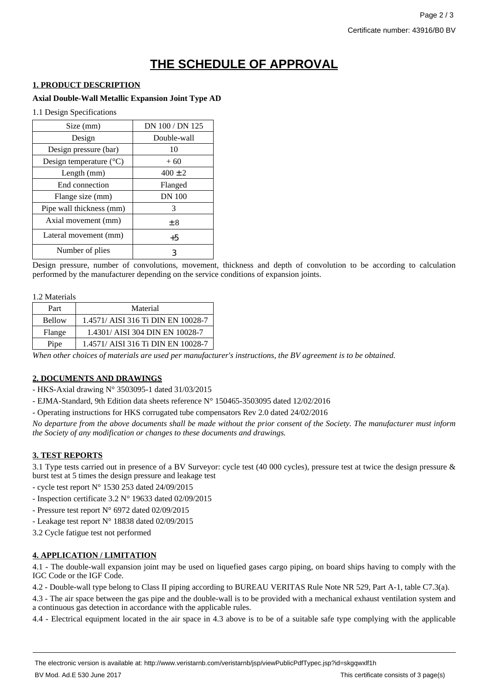# **THE SCHEDULE OF APPROVAL**

#### **1. PRODUCT DESCRIPTION**

#### **Axial Double-Wall Metallic Expansion Joint Type AD**

1.1 Design Specifications

| Size (mm)                        | DN 100 / DN 125 |
|----------------------------------|-----------------|
| Design                           | Double-wall     |
| Design pressure (bar)            | 10              |
| Design temperature $(^{\circ}C)$ | $+60$           |
| Length $(mm)$                    | $400 \pm 2$     |
| End connection                   | Flanged         |
| Flange size (mm)                 | <b>DN</b> 100   |
| Pipe wall thickness (mm)         | 3               |
| Axial movement (mm)              | ± 8             |
| Lateral movement (mm)            | $+5$            |
| Number of plies                  | 3               |

Design pressure, number of convolutions, movement, thickness and depth of convolution to be according to calculation performed by the manufacturer depending on the service conditions of expansion joints.

#### 1.2 Materials

| Part          | Material                           |
|---------------|------------------------------------|
| <b>Bellow</b> | 1.4571/ AISI 316 Ti DIN EN 10028-7 |
| Flange        | 1.4301/ AISI 304 DIN EN 10028-7    |
| Pipe          | 1.4571/ AISI 316 Ti DIN EN 10028-7 |

*When other choices of materials are used per manufacturer's instructions, the BV agreement is to be obtained.*

### **2. DOCUMENTS AND DRAWINGS**

- HKS-Axial drawing N° 3503095-1 dated 31/03/2015

- EJMA-Standard, 9th Edition data sheets reference N° 150465-3503095 dated 12/02/2016

- Operating instructions for HKS corrugated tube compensators Rev 2.0 dated 24/02/2016

*No departure from the above documents shall be made without the prior consent of the Society. The manufacturer must inform the Society of any modification or changes to these documents and drawings.*

### **3. TEST REPORTS**

3.1 Type tests carried out in presence of a BV Surveyor: cycle test (40 000 cycles), pressure test at twice the design pressure & burst test at 5 times the design pressure and leakage test

- cycle test report  $N^{\circ}$  1530 253 dated 24/09/2015

- Inspection certificate  $3.2 \text{ N}^{\circ}$  19633 dated 02/09/2015
- Pressure test report N° 6972 dated 02/09/2015
- Leakage test report N° 18838 dated 02/09/2015
- 3.2 Cycle fatigue test not performed

### **4. APPLICATION / LIMITATION**

4.1 - The double-wall expansion joint may be used on liquefied gases cargo piping, on board ships having to comply with the IGC Code or the IGF Code.

4.2 - Double-wall type belong to Class II piping according to BUREAU VERITAS Rule Note NR 529, Part A-1, table C7.3(a).

4.3 - The air space between the gas pipe and the double-wall is to be provided with a mechanical exhaust ventilation system and a continuous gas detection in accordance with the applicable rules.

4.4 - Electrical equipment located in the air space in 4.3 above is to be of a suitable safe type complying with the applicable